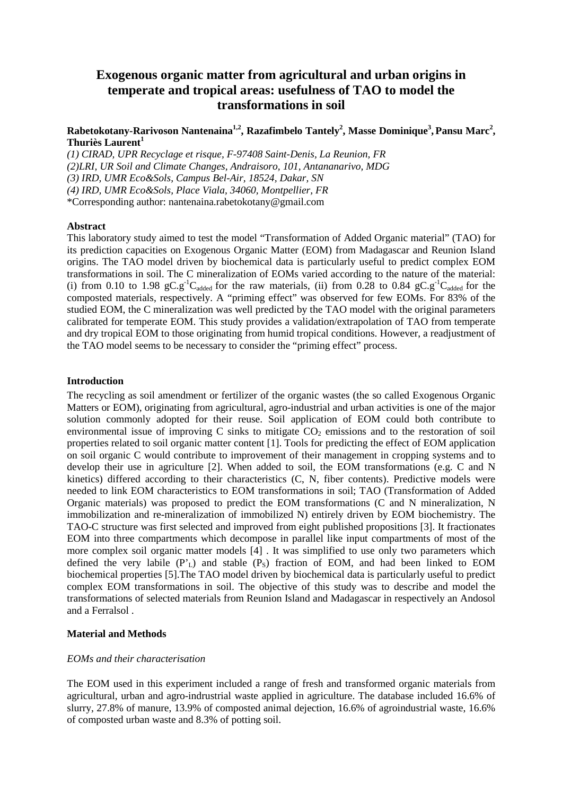# **Exogenous organic matter from agricultural and urban origins in temperate and tropical areas: usefulness of TAO to model the transformations in soil**

# **Rabetokotany-Rarivoson Nantenaina1,2, Razafimbelo Tantely<sup>2</sup> , Masse Dominique<sup>3</sup> ,Pansu Marc<sup>2</sup> , Thuriès Laurent<sup>1</sup>**

*(1) CIRAD, UPR Recyclage et risque, F-97408 Saint-Denis, La Reunion, FR (2)LRI, UR Soil and Climate Changes, Andraisoro, 101, Antananarivo, MDG (3) IRD, UMR Eco&Sols, Campus Bel-Air, 18524, Dakar, SN (4) IRD, UMR Eco&Sols, Place Viala, 34060, Montpellier, FR*  \*Corresponding author: nantenaina.rabetokotany@gmail.com

#### **Abstract**

This laboratory study aimed to test the model "Transformation of Added Organic material" (TAO) for its prediction capacities on Exogenous Organic Matter (EOM) from Madagascar and Reunion Island origins. The TAO model driven by biochemical data is particularly useful to predict complex EOM transformations in soil. The C mineralization of EOMs varied according to the nature of the material: (i) from 0.10 to 1.98  $gC.g^{-1}C_{added}$  for the raw materials, (ii) from 0.28 to 0.84  $gC.g^{-1}C_{added}$  for the composted materials, respectively. A "priming effect" was observed for few EOMs. For 83% of the studied EOM, the C mineralization was well predicted by the TAO model with the original parameters calibrated for temperate EOM. This study provides a validation/extrapolation of TAO from temperate and dry tropical EOM to those originating from humid tropical conditions. However, a readjustment of the TAO model seems to be necessary to consider the "priming effect" process.

#### **Introduction**

The recycling as soil amendment or fertilizer of the organic wastes (the so called Exogenous Organic Matters or EOM), originating from agricultural, agro-industrial and urban activities is one of the major solution commonly adopted for their reuse. Soil application of EOM could both contribute to environmental issue of improving  $C$  sinks to mitigate  $CO<sub>2</sub>$  emissions and to the restoration of soil properties related to soil organic matter content [1]. Tools for predicting the effect of EOM application on soil organic C would contribute to improvement of their management in cropping systems and to develop their use in agriculture [2]. When added to soil, the EOM transformations (e.g. C and N kinetics) differed according to their characteristics (C, N, fiber contents). Predictive models were needed to link EOM characteristics to EOM transformations in soil; TAO (Transformation of Added Organic materials) was proposed to predict the EOM transformations (C and N mineralization, N immobilization and re-mineralization of immobilized N) entirely driven by EOM biochemistry. The TAO-C structure was first selected and improved from eight published propositions [3]. It fractionates EOM into three compartments which decompose in parallel like input compartments of most of the more complex soil organic matter models [4] . It was simplified to use only two parameters which defined the very labile  $(P<sub>L</sub>)$  and stable  $(P<sub>S</sub>)$  fraction of EOM, and had been linked to EOM biochemical properties [5].The TAO model driven by biochemical data is particularly useful to predict complex EOM transformations in soil. The objective of this study was to describe and model the transformations of selected materials from Reunion Island and Madagascar in respectively an Andosol and a Ferralsol .

#### **Material and Methods**

#### *EOMs and their characterisation*

The EOM used in this experiment included a range of fresh and transformed organic materials from agricultural, urban and agro-indrustrial waste applied in agriculture. The database included 16.6% of slurry, 27.8% of manure, 13.9% of composted animal dejection, 16.6% of agroindustrial waste, 16.6% of composted urban waste and 8.3% of potting soil.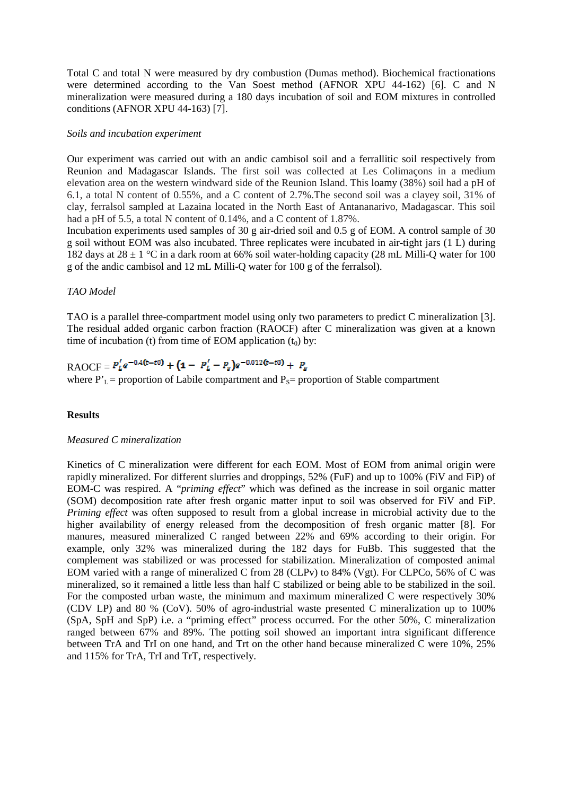Total C and total N were measured by dry combustion (Dumas method). Biochemical fractionations were determined according to the Van Soest method (AFNOR XPU 44-162) [6]. C and N mineralization were measured during a 180 days incubation of soil and EOM mixtures in controlled conditions (AFNOR XPU 44-163) [7].

## *Soils and incubation experiment*

Our experiment was carried out with an andic cambisol soil and a ferrallitic soil respectively from Reunion and Madagascar Islands. The first soil was collected at Les Colimaçons in a medium elevation area on the western windward side of the Reunion Island. This loamy (38%) soil had a pH of 6.1, a total N content of 0.55%, and a C content of 2.7%.The second soil was a clayey soil, 31% of clay, ferralsol sampled at Lazaina located in the North East of Antananarivo, Madagascar. This soil had a pH of 5.5, a total N content of 0.14%, and a C content of 1.87%.

Incubation experiments used samples of 30 g air-dried soil and 0.5 g of EOM. A control sample of 30 g soil without EOM was also incubated. Three replicates were incubated in air-tight jars (1 L) during 182 days at  $28 \pm 1$  °C in a dark room at 66% soil water-holding capacity (28 mL Milli-Q water for 100 g of the andic cambisol and 12 mL Milli-Q water for 100 g of the ferralsol).

# *TAO Model*

TAO is a parallel three-compartment model using only two parameters to predict C mineralization [3]. The residual added organic carbon fraction (RAOCF) after C mineralization was given at a known time of incubation (t) from time of EOM application  $(t_0)$  by:

# RAOCF =  $P'_L e^{-0.4(t-t0)} + (1 - P'_L - P_s)e^{-0.012(t-t0)} + P_s$

where  $P'_{L}$  = proportion of Labile compartment and  $P_{S}$  = proportion of Stable compartment

# **Results**

# *Measured C mineralization*

Kinetics of C mineralization were different for each EOM. Most of EOM from animal origin were rapidly mineralized. For different slurries and droppings, 52% (FuF) and up to 100% (FiV and FiP) of EOM-C was respired. A "*priming effect*" which was defined as the increase in soil organic matter (SOM) decomposition rate after fresh organic matter input to soil was observed for FiV and FiP. *Priming effect* was often supposed to result from a global increase in microbial activity due to the higher availability of energy released from the decomposition of fresh organic matter [8]. For manures, measured mineralized C ranged between 22% and 69% according to their origin. For example, only 32% was mineralized during the 182 days for FuBb. This suggested that the complement was stabilized or was processed for stabilization. Mineralization of composted animal EOM varied with a range of mineralized C from 28 (CLPv) to 84% (Vgt). For CLPCo, 56% of C was mineralized, so it remained a little less than half C stabilized or being able to be stabilized in the soil. For the composted urban waste, the minimum and maximum mineralized C were respectively 30% (CDV LP) and 80 % (CoV). 50% of agro-industrial waste presented C mineralization up to 100% (SpA, SpH and SpP) i.e. a "priming effect" process occurred. For the other 50%, C mineralization ranged between 67% and 89%. The potting soil showed an important intra significant difference between TrA and TrI on one hand, and Trt on the other hand because mineralized C were 10%, 25% and 115% for TrA, TrI and TrT, respectively.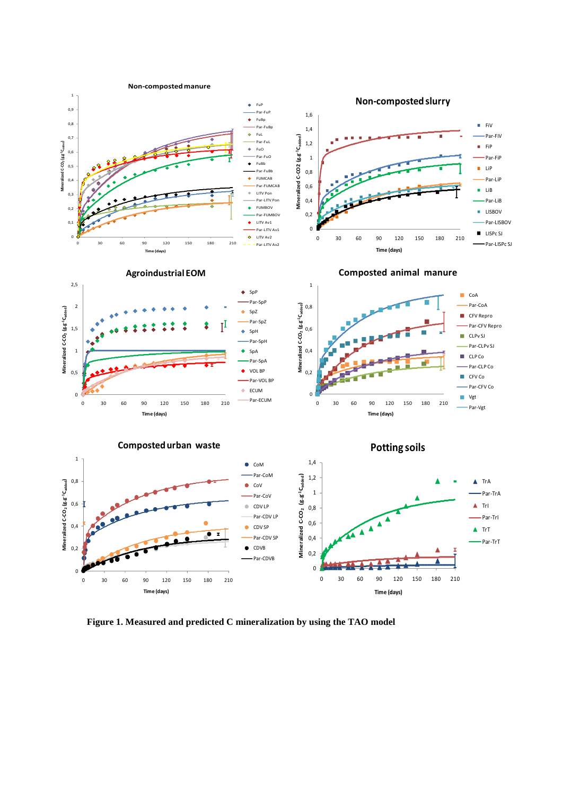

**Figure 1. Measured and predicted C mineralization by using the TAO model**